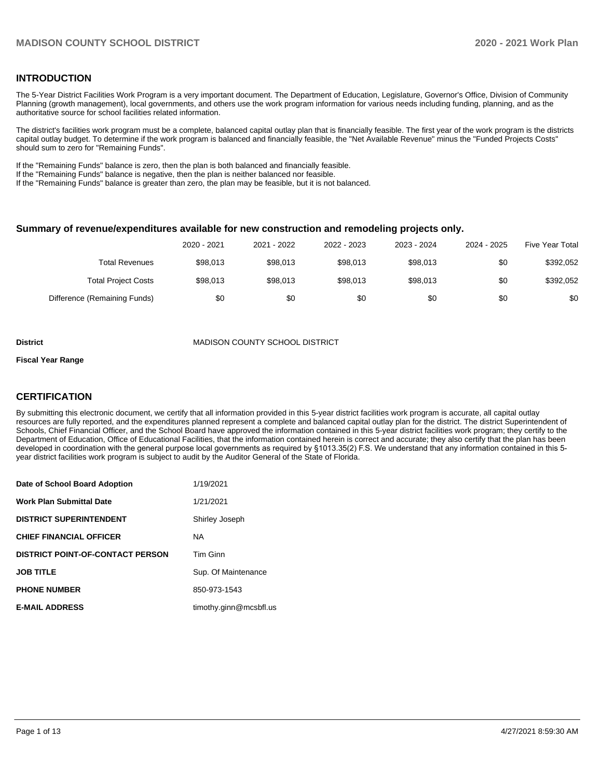## **INTRODUCTION**

The 5-Year District Facilities Work Program is a very important document. The Department of Education, Legislature, Governor's Office, Division of Community Planning (growth management), local governments, and others use the work program information for various needs including funding, planning, and as the authoritative source for school facilities related information.

The district's facilities work program must be a complete, balanced capital outlay plan that is financially feasible. The first year of the work program is the districts capital outlay budget. To determine if the work program is balanced and financially feasible, the "Net Available Revenue" minus the "Funded Projects Costs" should sum to zero for "Remaining Funds".

If the "Remaining Funds" balance is zero, then the plan is both balanced and financially feasible.

If the "Remaining Funds" balance is negative, then the plan is neither balanced nor feasible.

If the "Remaining Funds" balance is greater than zero, the plan may be feasible, but it is not balanced.

#### **Summary of revenue/expenditures available for new construction and remodeling projects only.**

| Five Year Total | 2024 - 2025 | 2023 - 2024 | 2022 - 2023 | 2021 - 2022 | 2020 - 2021 |                              |
|-----------------|-------------|-------------|-------------|-------------|-------------|------------------------------|
| \$392,052       | \$0         | \$98,013    | \$98,013    | \$98,013    | \$98,013    | <b>Total Revenues</b>        |
| \$392.052       | \$0         | \$98.013    | \$98,013    | \$98,013    | \$98,013    | <b>Total Project Costs</b>   |
| \$0             | \$0         | \$0         | \$0         | \$0         | \$0         | Difference (Remaining Funds) |

#### **District** MADISON COUNTY SCHOOL DISTRICT

#### **Fiscal Year Range**

## **CERTIFICATION**

By submitting this electronic document, we certify that all information provided in this 5-year district facilities work program is accurate, all capital outlay resources are fully reported, and the expenditures planned represent a complete and balanced capital outlay plan for the district. The district Superintendent of Schools, Chief Financial Officer, and the School Board have approved the information contained in this 5-year district facilities work program; they certify to the Department of Education, Office of Educational Facilities, that the information contained herein is correct and accurate; they also certify that the plan has been developed in coordination with the general purpose local governments as required by §1013.35(2) F.S. We understand that any information contained in this 5 year district facilities work program is subject to audit by the Auditor General of the State of Florida.

| Date of School Board Adoption           | 1/19/2021              |
|-----------------------------------------|------------------------|
| <b>Work Plan Submittal Date</b>         | 1/21/2021              |
| <b>DISTRICT SUPERINTENDENT</b>          | Shirley Joseph         |
| <b>CHIEF FINANCIAL OFFICER</b>          | <b>NA</b>              |
| <b>DISTRICT POINT-OF-CONTACT PERSON</b> | Tim Ginn               |
| <b>JOB TITLE</b>                        | Sup. Of Maintenance    |
| <b>PHONE NUMBER</b>                     | 850-973-1543           |
| <b>E-MAIL ADDRESS</b>                   | timothy.ginn@mcsbfl.us |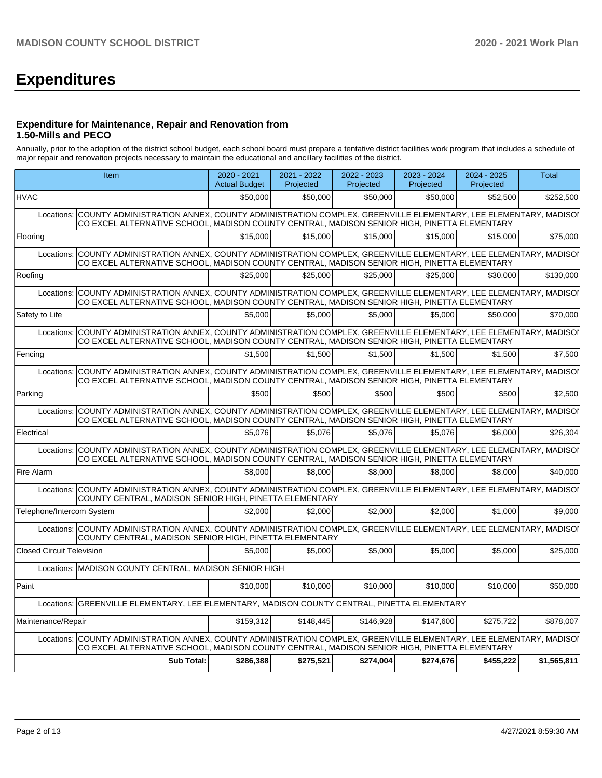# **Expenditures**

### **Expenditure for Maintenance, Repair and Renovation from 1.50-Mills and PECO**

Annually, prior to the adoption of the district school budget, each school board must prepare a tentative district facilities work program that includes a schedule of major repair and renovation projects necessary to maintain the educational and ancillary facilities of the district.

|                                  | Item                                                                                                                                                                                                                  | 2020 - 2021<br><b>Actual Budget</b> | 2021 - 2022<br>Projected | 2022 - 2023<br>Projected | 2023 - 2024<br>Projected | $2024 - 2025$<br>Projected | Total       |
|----------------------------------|-----------------------------------------------------------------------------------------------------------------------------------------------------------------------------------------------------------------------|-------------------------------------|--------------------------|--------------------------|--------------------------|----------------------------|-------------|
| <b>HVAC</b>                      |                                                                                                                                                                                                                       | \$50,000                            | \$50,000                 | \$50,000                 | \$50,000                 | \$52,500                   | \$252,500   |
| Locations:                       | COUNTY ADMINISTRATION ANNEX, COUNTY ADMINISTRATION COMPLEX, GREENVILLE ELEMENTARY, LEE ELEMENTARY, MADISOI<br>CO EXCEL ALTERNATIVE SCHOOL, MADISON COUNTY CENTRAL, MADISON SENIOR HIGH, PINETTA ELEMENTARY            |                                     |                          |                          |                          |                            |             |
| Flooring                         |                                                                                                                                                                                                                       | \$15,000                            | \$15,000                 | \$15,000                 | \$15,000                 | \$15,000                   | \$75,000    |
| Locations:                       | COUNTY ADMINISTRATION ANNEX, COUNTY ADMINISTRATION COMPLEX, GREENVILLE ELEMENTARY, LEE ELEMENTARY, MADISOI<br>CO EXCEL ALTERNATIVE SCHOOL, MADISON COUNTY CENTRAL, MADISON SENIOR HIGH, PINETTA ELEMENTARY            |                                     |                          |                          |                          |                            |             |
| Roofing                          |                                                                                                                                                                                                                       | \$25,000                            | \$25,000                 | \$25,000                 | \$25,000                 | \$30,000                   | \$130,000   |
| Locations:                       | COUNTY ADMINISTRATION ANNEX, COUNTY ADMINISTRATION COMPLEX, GREENVILLE ELEMENTARY, LEE ELEMENTARY, MADISOI<br>CO EXCEL ALTERNATIVE SCHOOL, MADISON COUNTY CENTRAL, MADISON SENIOR HIGH, PINETTA ELEMENTARY            |                                     |                          |                          |                          |                            |             |
| Safety to Life                   |                                                                                                                                                                                                                       | \$5.000                             | \$5,000                  | \$5,000                  | \$5.000                  | \$50,000                   | \$70,000    |
| Locations:                       | ICOUNTY ADMINISTRATION ANNEX. COUNTY ADMINISTRATION COMPLEX. GREENVILLE ELEMENTARY. LEE ELEMENTARY. MADISOI<br>CO EXCEL ALTERNATIVE SCHOOL, MADISON COUNTY CENTRAL, MADISON SENIOR HIGH, PINETTA ELEMENTARY           |                                     |                          |                          |                          |                            |             |
| Fencing                          |                                                                                                                                                                                                                       | \$1,500                             | \$1,500                  | \$1,500                  | \$1.500                  | \$1,500                    | \$7,500     |
|                                  | Locations: COUNTY ADMINISTRATION ANNEX, COUNTY ADMINISTRATION COMPLEX, GREENVILLE ELEMENTARY, LEE ELEMENTARY, MADISOI<br>CO EXCEL ALTERNATIVE SCHOOL, MADISON COUNTY CENTRAL, MADISON SENIOR HIGH, PINETTA ELEMENTARY |                                     |                          |                          |                          |                            |             |
| Parking                          |                                                                                                                                                                                                                       | \$500                               | \$500                    | \$500                    | \$500                    | \$500                      | \$2,500     |
|                                  | Locations: COUNTY ADMINISTRATION ANNEX, COUNTY ADMINISTRATION COMPLEX, GREENVILLE ELEMENTARY, LEE ELEMENTARY, MADISOI<br>CO EXCEL ALTERNATIVE SCHOOL, MADISON COUNTY CENTRAL, MADISON SENIOR HIGH, PINETTA ELEMENTARY |                                     |                          |                          |                          |                            |             |
| Electrical                       |                                                                                                                                                                                                                       | \$5.076                             | \$5.076                  | \$5,076                  | \$5.076                  | \$6,000                    | \$26,304    |
| Locations:                       | COUNTY ADMINISTRATION ANNEX. COUNTY ADMINISTRATION COMPLEX. GREENVILLE ELEMENTARY. LEE ELEMENTARY. MADISOI<br>CO EXCEL ALTERNATIVE SCHOOL, MADISON COUNTY CENTRAL, MADISON SENIOR HIGH, PINETTA ELEMENTARY            |                                     |                          |                          |                          |                            |             |
| Fire Alarm                       |                                                                                                                                                                                                                       | \$8,000                             | \$8,000                  | \$8,000                  | \$8,000                  | \$8,000                    | \$40,000    |
| Locations:                       | COUNTY ADMINISTRATION ANNEX, COUNTY ADMINISTRATION COMPLEX, GREENVILLE ELEMENTARY, LEE ELEMENTARY, MADISOI<br>COUNTY CENTRAL, MADISON SENIOR HIGH, PINETTA ELEMENTARY                                                 |                                     |                          |                          |                          |                            |             |
| Telephone/Intercom System        |                                                                                                                                                                                                                       | \$2,000                             | \$2,000                  | \$2,000                  | \$2.000                  | \$1.000                    | \$9.000     |
|                                  | Locations: COUNTY ADMINISTRATION ANNEX, COUNTY ADMINISTRATION COMPLEX, GREENVILLE ELEMENTARY, LEE ELEMENTARY, MADISOI<br>COUNTY CENTRAL, MADISON SENIOR HIGH, PINETTA ELEMENTARY                                      |                                     |                          |                          |                          |                            |             |
| <b>Closed Circuit Television</b> |                                                                                                                                                                                                                       | \$5.000                             | \$5,000                  | \$5,000                  | \$5,000                  | \$5,000                    | \$25,000    |
|                                  | Locations: MADISON COUNTY CENTRAL, MADISON SENIOR HIGH                                                                                                                                                                |                                     |                          |                          |                          |                            |             |
| Paint                            |                                                                                                                                                                                                                       | \$10,000                            | \$10,000                 | \$10,000                 | \$10.000                 | \$10,000                   | \$50,000    |
| Locations:                       | GREENVILLE ELEMENTARY, LEE ELEMENTARY, MADISON COUNTY CENTRAL, PINETTA ELEMENTARY                                                                                                                                     |                                     |                          |                          |                          |                            |             |
| Maintenance/Repair               |                                                                                                                                                                                                                       | \$159.312                           | \$148.445                | \$146.928                | \$147.600                | \$275,722                  | \$878,007   |
|                                  | Locations: COUNTY ADMINISTRATION ANNEX. COUNTY ADMINISTRATION COMPLEX. GREENVILLE ELEMENTARY. LEE ELEMENTARY. MADISOI<br>CO EXCEL ALTERNATIVE SCHOOL, MADISON COUNTY CENTRAL, MADISON SENIOR HIGH, PINETTA ELEMENTARY |                                     |                          |                          |                          |                            |             |
|                                  | <b>Sub Total:</b>                                                                                                                                                                                                     | \$286.388                           | \$275,521                | \$274,004                | \$274,676                | \$455,222                  | \$1,565,811 |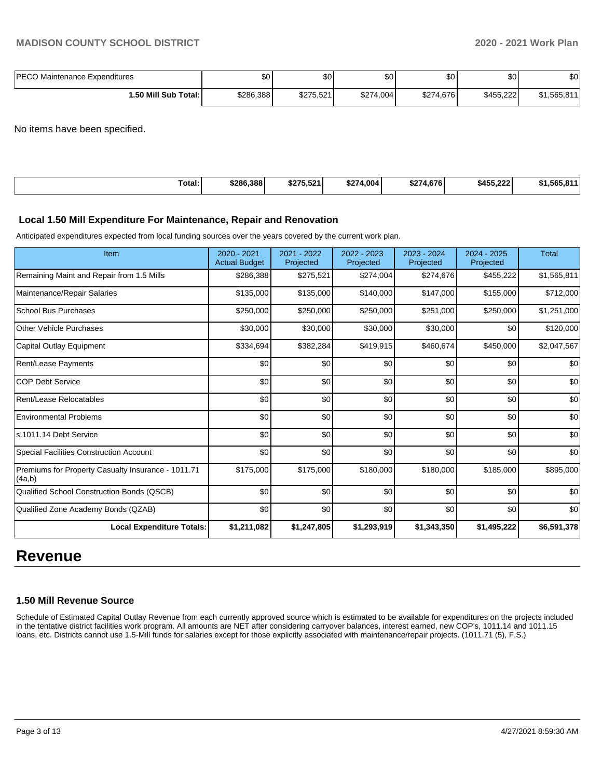| <b>PECO</b><br>Maintenance Expenditures | ሶሳ<br>JU. | $\sim$<br>Ψ | <b>SO</b> | ሶሳ<br>υU  | \$0       | \$0         |
|-----------------------------------------|-----------|-------------|-----------|-----------|-----------|-------------|
| l.50 Mill Sub Total:                    | \$286,388 | \$275,521   | \$274,004 | \$274,676 | \$455,222 | \$1,565,811 |

No items have been specified.

| Total:<br>. | \$286,388 | \$275.521 | \$274,004 | 4.676<br>\$274 | \$455.222 | \$1.565.8<br>04 |
|-------------|-----------|-----------|-----------|----------------|-----------|-----------------|
|             |           |           |           |                |           |                 |

#### **Local 1.50 Mill Expenditure For Maintenance, Repair and Renovation**

Anticipated expenditures expected from local funding sources over the years covered by the current work plan.

| Item                                                         | 2020 - 2021<br><b>Actual Budget</b> | 2021 - 2022<br>Projected | 2022 - 2023<br>Projected | 2023 - 2024<br>Projected | 2024 - 2025<br>Projected | <b>Total</b> |
|--------------------------------------------------------------|-------------------------------------|--------------------------|--------------------------|--------------------------|--------------------------|--------------|
| Remaining Maint and Repair from 1.5 Mills                    | \$286,388                           | \$275,521                | \$274,004                | \$274,676                | \$455,222                | \$1,565,811  |
| Maintenance/Repair Salaries                                  | \$135,000                           | \$135,000                | \$140,000                | \$147,000                | \$155,000                | \$712,000    |
| <b>School Bus Purchases</b>                                  | \$250,000                           | \$250,000                | \$250,000                | \$251,000                | \$250,000                | \$1,251,000  |
| <b>Other Vehicle Purchases</b>                               | \$30,000                            | \$30,000                 | \$30,000                 | \$30,000                 | \$0                      | \$120,000    |
| Capital Outlay Equipment                                     | \$334,694                           | \$382,284                | \$419,915                | \$460,674                | \$450,000                | \$2,047,567  |
| Rent/Lease Payments                                          | \$0                                 | \$0                      | \$0                      | \$0                      | \$0                      | \$0          |
| <b>COP Debt Service</b>                                      | \$0                                 | \$0                      | \$0                      | \$0                      | \$0                      | \$0          |
| Rent/Lease Relocatables                                      | \$0                                 | \$0                      | \$0                      | \$0                      | \$0                      | \$0          |
| <b>Environmental Problems</b>                                | \$0                                 | \$0                      | \$0                      | \$0                      | \$0                      | \$0          |
| ls.1011.14 Debt Service                                      | \$0                                 | \$0                      | \$0                      | \$0                      | \$0                      | \$0          |
| <b>Special Facilities Construction Account</b>               | \$0                                 | \$0                      | \$0                      | \$0                      | \$0                      | \$0          |
| Premiums for Property Casualty Insurance - 1011.71<br>(4a,b) | \$175,000                           | \$175,000                | \$180,000                | \$180,000                | \$185,000                | \$895,000    |
| Qualified School Construction Bonds (QSCB)                   | \$0                                 | \$0                      | \$0                      | \$0                      | \$0                      | \$0          |
| Qualified Zone Academy Bonds (QZAB)                          | \$0                                 | \$0                      | \$0                      | \$0                      | \$0                      | \$0          |
| <b>Local Expenditure Totals:</b>                             | \$1,211,082                         | \$1,247,805              | \$1,293,919              | \$1,343,350              | \$1,495,222              | \$6,591,378  |

## **Revenue**

#### **1.50 Mill Revenue Source**

Schedule of Estimated Capital Outlay Revenue from each currently approved source which is estimated to be available for expenditures on the projects included in the tentative district facilities work program. All amounts are NET after considering carryover balances, interest earned, new COP's, 1011.14 and 1011.15 loans, etc. Districts cannot use 1.5-Mill funds for salaries except for those explicitly associated with maintenance/repair projects. (1011.71 (5), F.S.)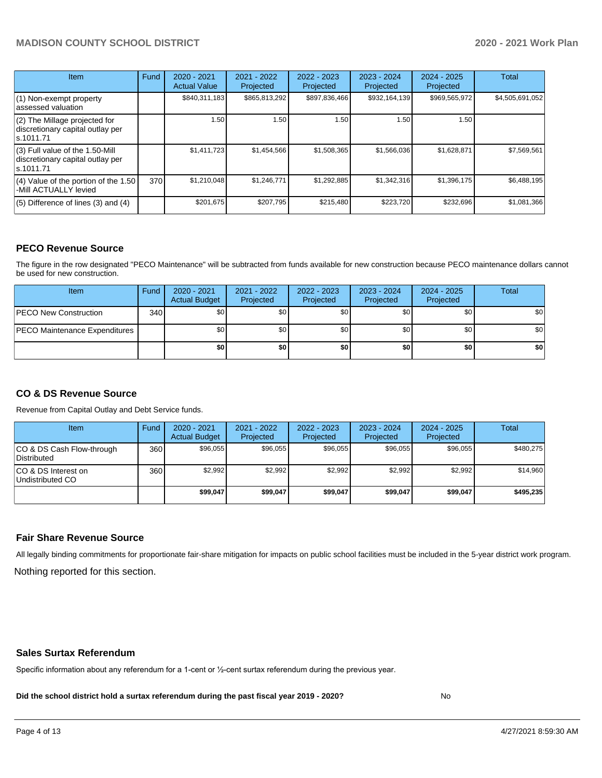## **MADISON COUNTY SCHOOL DISTRICT 2020 - 2021 Work Plan**

| <b>Item</b>                                                                       | Fund | $2020 - 2021$<br><b>Actual Value</b> | 2021 - 2022<br>Projected | 2022 - 2023<br>Projected | $2023 - 2024$<br>Projected | $2024 - 2025$<br>Projected | Total           |
|-----------------------------------------------------------------------------------|------|--------------------------------------|--------------------------|--------------------------|----------------------------|----------------------------|-----------------|
| (1) Non-exempt property<br>lassessed valuation                                    |      | \$840,311,183                        | \$865,813,292            | \$897,836,466            | \$932,164,139              | \$969,565,972              | \$4,505,691,052 |
| (2) The Millage projected for<br>discretionary capital outlay per<br>ls.1011.71   |      | 1.50                                 | 1.50                     | 1.50                     | 1.50                       | 1.50                       |                 |
| (3) Full value of the 1.50-Mill<br>discretionary capital outlay per<br>ls.1011.71 |      | \$1,411,723                          | \$1,454,566              | \$1,508,365              | \$1,566,036                | \$1,628,871                | \$7,569,561     |
| $(4)$ Value of the portion of the 1.50<br>-Mill ACTUALLY levied                   | 370I | \$1,210,048                          | \$1,246,771              | \$1,292,885              | \$1,342,316                | \$1,396,175                | \$6,488,195     |
| $(5)$ Difference of lines $(3)$ and $(4)$                                         |      | \$201,675                            | \$207,795                | \$215,480                | \$223,720                  | \$232,696                  | \$1,081,366     |

## **PECO Revenue Source**

The figure in the row designated "PECO Maintenance" will be subtracted from funds available for new construction because PECO maintenance dollars cannot be used for new construction.

| Item                                 | Fund | $2020 - 2021$<br><b>Actual Budget</b> | 2021 - 2022<br>Projected | 2022 - 2023<br>Projected | 2023 - 2024<br>Projected | $2024 - 2025$<br>Projected | Total            |
|--------------------------------------|------|---------------------------------------|--------------------------|--------------------------|--------------------------|----------------------------|------------------|
| <b>PECO New Construction</b>         | 340  | \$0                                   | \$0 <sub>1</sub>         | \$0                      | \$0 <sub>1</sub>         | \$0 <sub>1</sub>           | \$0 <sub>1</sub> |
| <b>PECO Maintenance Expenditures</b> |      | ا 30                                  | \$٥Ι                     | \$0                      | \$0 <sub>1</sub>         | \$0                        | \$0              |
|                                      |      | \$0                                   | \$0                      | \$0                      | \$0                      | \$0                        | \$0              |

## **CO & DS Revenue Source**

Revenue from Capital Outlay and Debt Service funds.

| Item                                      | Fund  | $2020 - 2021$<br><b>Actual Budget</b> | 2021 - 2022<br>Projected | 2022 - 2023<br>Projected | $2023 - 2024$<br>Projected | $2024 - 2025$<br>Projected | Total     |
|-------------------------------------------|-------|---------------------------------------|--------------------------|--------------------------|----------------------------|----------------------------|-----------|
| ICO & DS Cash Flow-through<br>Distributed | 360 l | \$96.055                              | \$96.055                 | \$96.055                 | \$96.055                   | \$96,055                   | \$480.275 |
| ICO & DS Interest on<br>Undistributed CO  | 360   | \$2.992                               | \$2,992                  | \$2.992                  | \$2.992                    | \$2,992                    | \$14,960  |
|                                           |       | \$99,047                              | \$99,047                 | \$99.047                 | \$99.047                   | \$99,047                   | \$495.235 |

#### **Fair Share Revenue Source**

Nothing reported for this section. All legally binding commitments for proportionate fair-share mitigation for impacts on public school facilities must be included in the 5-year district work program.

#### **Sales Surtax Referendum**

Specific information about any referendum for a 1-cent or ½-cent surtax referendum during the previous year.

**Did the school district hold a surtax referendum during the past fiscal year 2019 - 2020?**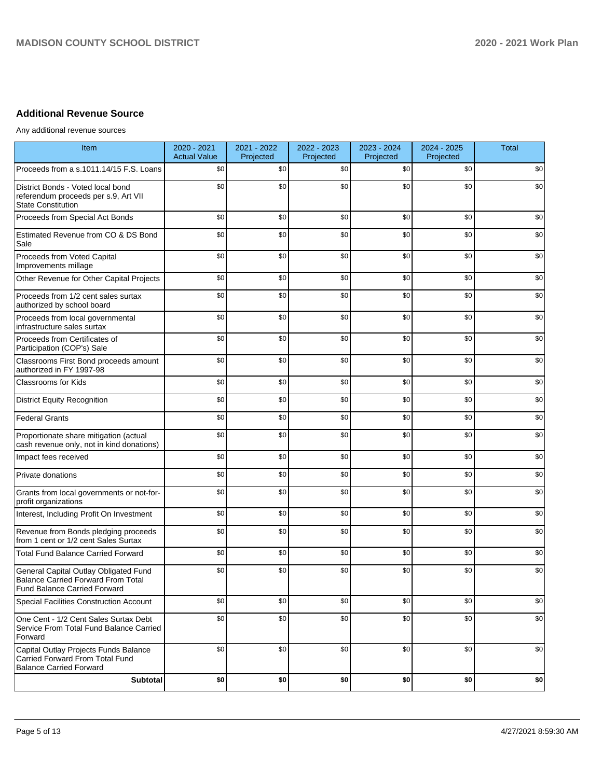## **Additional Revenue Source**

Any additional revenue sources

| <b>Item</b>                                                                                                               | 2020 - 2021<br><b>Actual Value</b> | 2021 - 2022<br>Projected | 2022 - 2023<br>Projected | 2023 - 2024<br>Projected | 2024 - 2025<br>Projected | <b>Total</b> |
|---------------------------------------------------------------------------------------------------------------------------|------------------------------------|--------------------------|--------------------------|--------------------------|--------------------------|--------------|
| Proceeds from a s.1011.14/15 F.S. Loans                                                                                   | \$0                                | \$0                      | \$0                      | \$0                      | \$0                      | \$0          |
| District Bonds - Voted local bond<br>referendum proceeds per s.9, Art VII<br><b>State Constitution</b>                    | \$0                                | \$0                      | \$0                      | \$0                      | \$0                      | \$0          |
| Proceeds from Special Act Bonds                                                                                           | \$0                                | \$0                      | \$0                      | \$0                      | \$0                      | \$0          |
| Estimated Revenue from CO & DS Bond<br>Sale                                                                               | \$0                                | \$0                      | \$0                      | \$0                      | \$0                      | \$0          |
| Proceeds from Voted Capital<br>Improvements millage                                                                       | \$0                                | \$0                      | \$0                      | \$0                      | \$0                      | \$0          |
| Other Revenue for Other Capital Projects                                                                                  | \$0                                | \$0                      | \$0                      | \$0                      | \$0                      | \$0          |
| Proceeds from 1/2 cent sales surtax<br>authorized by school board                                                         | \$0                                | \$0                      | \$0                      | \$0                      | \$0                      | \$0          |
| Proceeds from local governmental<br>infrastructure sales surtax                                                           | \$0                                | \$0                      | \$0                      | \$0                      | \$0                      | \$0          |
| Proceeds from Certificates of<br>Participation (COP's) Sale                                                               | \$0                                | \$0                      | \$0                      | \$0                      | \$0                      | \$0          |
| Classrooms First Bond proceeds amount<br>authorized in FY 1997-98                                                         | \$0                                | \$0                      | \$0                      | \$0                      | \$0                      | \$0          |
| Classrooms for Kids                                                                                                       | \$0                                | \$0                      | \$0                      | \$0                      | \$0                      | \$0          |
| <b>District Equity Recognition</b>                                                                                        | \$0                                | \$0                      | \$0                      | \$0                      | \$0                      | \$0          |
| <b>Federal Grants</b>                                                                                                     | \$0                                | \$0                      | \$0                      | \$0                      | \$0                      | \$0          |
| Proportionate share mitigation (actual<br>cash revenue only, not in kind donations)                                       | \$0                                | \$0                      | \$0                      | \$0                      | \$0                      | \$0          |
| Impact fees received                                                                                                      | \$0                                | \$0                      | \$0                      | \$0                      | \$0                      | \$0          |
| Private donations                                                                                                         | \$0                                | \$0                      | \$0                      | \$0                      | \$0                      | \$0          |
| Grants from local governments or not-for-<br>profit organizations                                                         | \$0                                | \$0                      | \$0                      | \$0                      | \$0                      | \$0          |
| Interest, Including Profit On Investment                                                                                  | \$0                                | \$0                      | \$0                      | \$0                      | \$0                      | \$0          |
| Revenue from Bonds pledging proceeds<br>from 1 cent or 1/2 cent Sales Surtax                                              | \$0                                | \$0                      | \$0                      | \$0                      | \$0                      | \$0          |
| <b>Total Fund Balance Carried Forward</b>                                                                                 | \$0                                | \$0                      | \$0                      | \$0                      | \$0                      | \$0          |
| General Capital Outlay Obligated Fund<br><b>Balance Carried Forward From Total</b><br><b>Fund Balance Carried Forward</b> | \$0                                | \$0                      | \$0                      | \$0                      | \$0                      | \$0          |
| Special Facilities Construction Account                                                                                   | \$0                                | \$0                      | \$0                      | \$0                      | \$0                      | \$0          |
| One Cent - 1/2 Cent Sales Surtax Debt<br>Service From Total Fund Balance Carried<br>Forward                               | \$0                                | \$0                      | \$0                      | \$0                      | \$0                      | \$0          |
| Capital Outlay Projects Funds Balance<br>Carried Forward From Total Fund<br><b>Balance Carried Forward</b>                | \$0                                | \$0                      | \$0                      | \$0                      | \$0                      | \$0          |
| Subtotal                                                                                                                  | \$0                                | \$0                      | \$0                      | \$0                      | \$0                      | \$0          |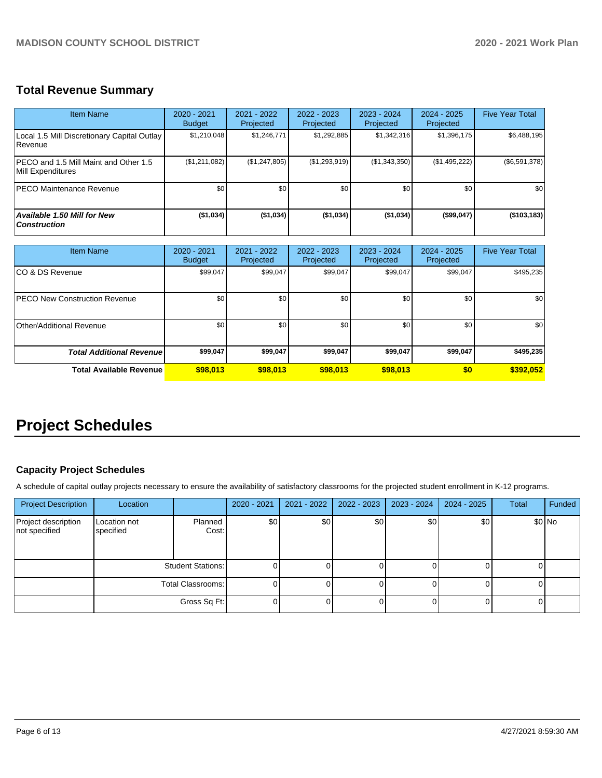## **Total Revenue Summary**

| Item Name                                                     | $2020 - 2021$<br><b>Budget</b> | 2021 - 2022<br>Projected | 2022 - 2023<br>Projected | 2023 - 2024<br>Projected | $2024 - 2025$<br>Projected | <b>Five Year Total</b> |
|---------------------------------------------------------------|--------------------------------|--------------------------|--------------------------|--------------------------|----------------------------|------------------------|
| Local 1.5 Mill Discretionary Capital Outlay<br><b>Revenue</b> | \$1,210,048                    | \$1,246,771              | \$1,292,885              | \$1,342,316              | \$1,396,175                | \$6,488,195            |
| IPECO and 1.5 Mill Maint and Other 1.5<br>Mill Expenditures   | (\$1,211,082)                  | (\$1,247,805)            | (\$1,293,919)            | (\$1,343,350)            | (\$1,495,222)              | $(\$6,591,378)$        |
| <b>PECO Maintenance Revenue</b>                               | \$0 <sub>1</sub>               | \$0 <sub>1</sub>         | \$0                      | \$0                      | \$0                        | \$0                    |
| <b>Available 1.50 Mill for New</b><br><b>Construction</b>     | ( \$1,034)                     | ( \$1,034]               | ( \$1,034)               | ( \$1,034)               | (\$99,047)                 | (\$103, 183)           |

| <b>Item Name</b>                     | 2020 - 2021<br><b>Budget</b> | $2021 - 2022$<br>Projected | 2022 - 2023<br>Projected | 2023 - 2024<br>Projected | $2024 - 2025$<br>Projected | <b>Five Year Total</b> |
|--------------------------------------|------------------------------|----------------------------|--------------------------|--------------------------|----------------------------|------------------------|
| ICO & DS Revenue                     | \$99,047                     | \$99,047                   | \$99,047                 | \$99,047                 | \$99,047                   | \$495,235              |
| <b>PECO New Construction Revenue</b> | \$0                          | \$0 <sub>1</sub>           | \$0                      | \$0                      | \$0                        | \$0                    |
| Other/Additional Revenue             | \$0 <sub>1</sub>             | \$0 <sub>1</sub>           | \$0                      | \$0                      | \$0                        | \$0                    |
| <b>Total Additional Revenuel</b>     | \$99,047                     | \$99,047                   | \$99,047                 | \$99,047                 | \$99,047                   | \$495,235              |
| Total Available Revenue              | \$98,013                     | \$98,013                   | \$98,013                 | \$98,013                 | \$0                        | \$392,052              |

# **Project Schedules**

## **Capacity Project Schedules**

A schedule of capital outlay projects necessary to ensure the availability of satisfactory classrooms for the projected student enrollment in K-12 programs.

| <b>Project Description</b>           | Location                  |                  | 2020 - 2021 | 2021 - 2022      | 2022 - 2023 | 2023 - 2024 | 2024 - 2025 | <b>Total</b> | Funded  |
|--------------------------------------|---------------------------|------------------|-------------|------------------|-------------|-------------|-------------|--------------|---------|
| Project description<br>not specified | Location not<br>specified | Planned<br>Cost: | \$0         | \$0 <sub>1</sub> | \$0         | \$0         | \$0         |              | $$0$ No |
|                                      | <b>Student Stations:</b>  |                  |             |                  |             |             |             |              |         |
|                                      | <b>Total Classrooms:</b>  |                  |             |                  |             |             |             |              |         |
|                                      | Gross Sq Ft:              |                  |             |                  |             |             |             |              |         |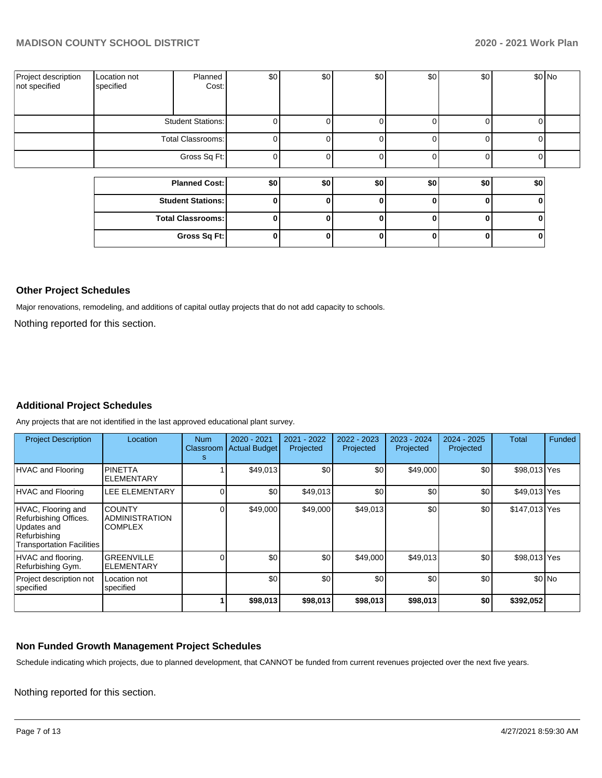| Project description<br>not specified | Location not<br>specified                     | Planned<br>Cost:         | \$0 | \$0 | \$0      | \$0      | \$0 |     | \$0 No |
|--------------------------------------|-----------------------------------------------|--------------------------|-----|-----|----------|----------|-----|-----|--------|
|                                      | <b>Student Stations:</b><br>Total Classrooms: |                          |     |     | 0        | 01       |     |     |        |
|                                      |                                               |                          |     |     | 0        | 01       | U   |     |        |
|                                      |                                               |                          |     | 0   | 01       |          |     |     |        |
|                                      |                                               |                          |     |     |          |          |     |     |        |
|                                      |                                               | <b>Planned Cost:</b>     | \$0 | \$0 | \$0      | \$0      | \$0 | \$0 |        |
|                                      |                                               | <b>Student Stations:</b> | 0   |     | $\bf{0}$ | $\Omega$ | 0   | 0   |        |
|                                      |                                               | <b>Total Classrooms:</b> |     |     | $\Omega$ | $\Omega$ | ŋ   | 0   |        |
|                                      |                                               | Gross Sq Ft:             | 0   | 0   | 0        | 0        | 0   | 0   |        |

#### **Other Project Schedules**

Major renovations, remodeling, and additions of capital outlay projects that do not add capacity to schools.

Nothing reported for this section.

## **Additional Project Schedules**

Any projects that are not identified in the last approved educational plant survey.

| <b>Project Description</b>                                                                                     | Location                                          | <b>Num</b><br>Classroom<br>s | $2020 - 2021$<br><b>Actual Budget</b> | 2021 - 2022<br>Projected | 2022 - 2023<br>Projected | 2023 - 2024<br>Projected | $2024 - 2025$<br>Projected | Total         | Funded |
|----------------------------------------------------------------------------------------------------------------|---------------------------------------------------|------------------------------|---------------------------------------|--------------------------|--------------------------|--------------------------|----------------------------|---------------|--------|
| HVAC and Flooring                                                                                              | <b>PINETTA</b><br><b>ELEMENTARY</b>               |                              | \$49,013                              | \$0                      | \$0                      | \$49,000                 | \$0                        | \$98,013 Yes  |        |
| HVAC and Flooring                                                                                              | LEE ELEMENTARY                                    |                              | \$0                                   | \$49,013                 | \$0                      | \$0                      | \$0                        | \$49,013 Yes  |        |
| HVAC, Flooring and<br>Refurbishing Offices.<br>Updates and<br>Refurbishing<br><b>Transportation Facilities</b> | <b>COUNTY</b><br>ADMINISTRATION<br><b>COMPLEX</b> |                              | \$49,000                              | \$49,000                 | \$49,013                 | \$0                      | \$0                        | \$147,013 Yes |        |
| HVAC and flooring.<br>Refurbishing Gym.                                                                        | <b>GREENVILLE</b><br><b>ELEMENTARY</b>            |                              | \$0                                   | \$0                      | \$49,000                 | \$49.013                 | \$0                        | \$98,013 Yes  |        |
| Project description not<br>specified                                                                           | Location not<br>specified                         |                              | \$0                                   | \$0                      | \$0                      | \$0                      | \$0                        |               | \$0 No |
|                                                                                                                |                                                   |                              | \$98,013                              | \$98,013                 | \$98,013                 | \$98,013                 | \$0                        | \$392,052     |        |

### **Non Funded Growth Management Project Schedules**

Schedule indicating which projects, due to planned development, that CANNOT be funded from current revenues projected over the next five years.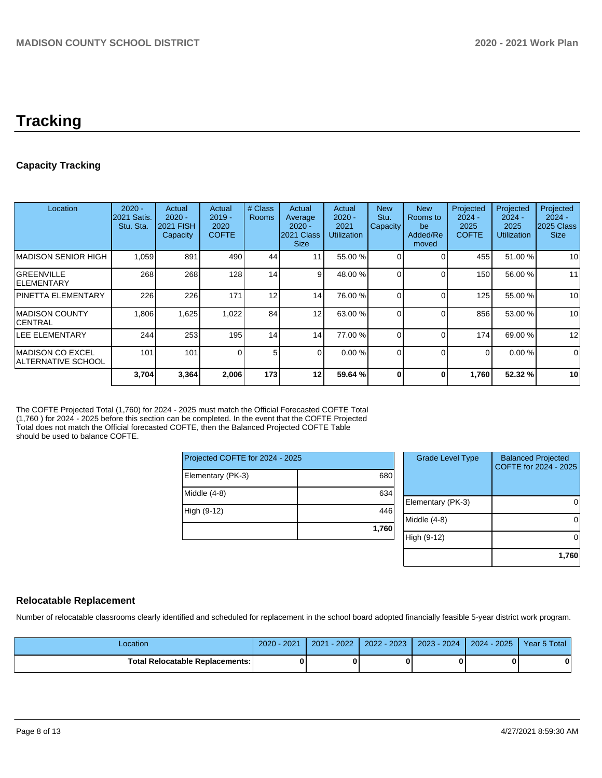## **Tracking**

## **Capacity Tracking**

| Location                                 | $2020 -$<br>2021 Satis.<br>Stu. Sta. | Actual<br>$2020 -$<br>2021 FISH<br>Capacity | Actual<br>$2019 -$<br>2020<br><b>COFTE</b> | # Class<br><b>Rooms</b> | Actual<br>Average<br>$2020 -$<br>2021 Class<br><b>Size</b> | Actual<br>$2020 -$<br>2021<br><b>Utilization</b> | <b>New</b><br>Stu.<br>Capacity | <b>New</b><br>Rooms to<br>be<br>Added/Re<br>moved | Projected<br>$2024 -$<br>2025<br><b>COFTE</b> | Projected<br>$2024 -$<br>2025<br>Utilization | Projected<br>$2024 -$<br><b>2025 Class</b><br><b>Size</b> |
|------------------------------------------|--------------------------------------|---------------------------------------------|--------------------------------------------|-------------------------|------------------------------------------------------------|--------------------------------------------------|--------------------------------|---------------------------------------------------|-----------------------------------------------|----------------------------------------------|-----------------------------------------------------------|
| IMADISON SENIOR HIGH                     | 1,059                                | 891                                         | 490                                        | 44                      | 11                                                         | 55.00 %                                          |                                |                                                   | 455                                           | 51.00 %                                      | 10 <sup>1</sup>                                           |
| <b>GREENVILLE</b><br><b>IELEMENTARY</b>  | 268                                  | 268                                         | 128                                        | 14                      | 9                                                          | 48.00 %                                          |                                |                                                   | 150                                           | 56.00 %                                      | 11                                                        |
| PINETTA ELEMENTARY                       | 226                                  | 226                                         | 171                                        | 12                      | 14 <sub>1</sub>                                            | 76.00 %                                          |                                |                                                   | 125                                           | 55.00 %                                      | 10                                                        |
| <b>IMADISON COUNTY</b><br>ICENTRAL       | 1,806                                | 1,625                                       | 1,022                                      | 84                      | 12 <sub>1</sub>                                            | 63.00 %                                          |                                |                                                   | 856                                           | 53.00 %                                      | 10                                                        |
| LEE ELEMENTARY                           | 244                                  | 253                                         | 195                                        | 14 <sub>1</sub>         | 14 <sub>1</sub>                                            | 77.00 %                                          |                                |                                                   | 174                                           | 69.00 %                                      | 12                                                        |
| IMADISON CO EXCEL<br> ALTERNATIVE SCHOOL | 101                                  | 101                                         | $\Omega$                                   | 5                       | $\Omega$                                                   | 0.00%                                            |                                | $\Omega$                                          | $\Omega$                                      | 0.00 %                                       | $\Omega$                                                  |
|                                          | 3,704                                | 3,364                                       | 2,006                                      | 173                     | 12                                                         | 59.64 %                                          | <sup>0</sup>                   | 0                                                 | 1,760                                         | 52.32 %                                      | 10                                                        |

The COFTE Projected Total (1,760) for 2024 - 2025 must match the Official Forecasted COFTE Total (1,760 ) for 2024 - 2025 before this section can be completed. In the event that the COFTE Projected Total does not match the Official forecasted COFTE, then the Balanced Projected COFTE Table should be used to balance COFTE.

| Projected COFTE for 2024 - 2025 |       |  |  |  |  |  |
|---------------------------------|-------|--|--|--|--|--|
| Elementary (PK-3)               | 680   |  |  |  |  |  |
| Middle (4-8)                    | 634   |  |  |  |  |  |
| High (9-12)                     | 446   |  |  |  |  |  |
|                                 | 1,760 |  |  |  |  |  |

| <b>Grade Level Type</b> | <b>Balanced Projected</b><br>COFTE for 2024 - 2025 |
|-------------------------|----------------------------------------------------|
| Elementary (PK-3)       |                                                    |
| Middle (4-8)            |                                                    |
| High (9-12)             |                                                    |
|                         | 1,760                                              |

## **Relocatable Replacement**

Number of relocatable classrooms clearly identified and scheduled for replacement in the school board adopted financially feasible 5-year district work program.

| .ocation                        | 2020 - 2021 | 2021 - 2022 | $2022 - 2023$ | 2023 - 2024 | 2024 - 2025 | Year 5 Total |
|---------------------------------|-------------|-------------|---------------|-------------|-------------|--------------|
| Total Relocatable Replacements: |             |             |               |             |             | Λ            |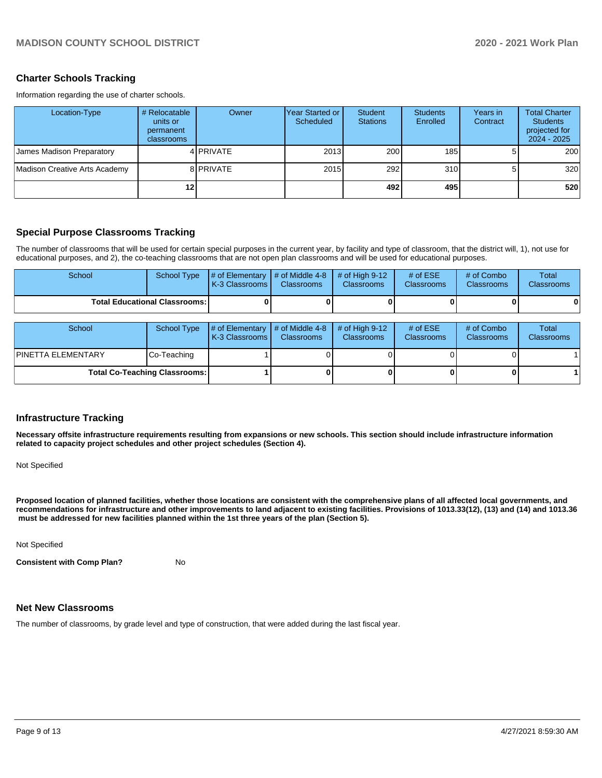## **Charter Schools Tracking**

Information regarding the use of charter schools.

| Location-Type                 | # Relocatable<br>units or<br>permanent<br>classrooms | Owner     | lYear Started or<br>Scheduled | <b>Student</b><br><b>Stations</b> | <b>Students</b><br>Enrolled | Years in<br>Contract | <b>Total Charter</b><br><b>Students</b><br>projected for<br>2024 - 2025 |
|-------------------------------|------------------------------------------------------|-----------|-------------------------------|-----------------------------------|-----------------------------|----------------------|-------------------------------------------------------------------------|
| James Madison Preparatory     |                                                      | 4 PRIVATE | 2013                          | 200                               | 185                         |                      | <b>200</b>                                                              |
| Madison Creative Arts Academy |                                                      | 8 PRIVATE | 2015                          | 292                               | 310 <sub>1</sub>            |                      | 320 <sub>1</sub>                                                        |
|                               | 121                                                  |           |                               | 492                               | 495                         |                      | 520                                                                     |

#### **Special Purpose Classrooms Tracking**

The number of classrooms that will be used for certain special purposes in the current year, by facility and type of classroom, that the district will, 1), not use for educational purposes, and 2), the co-teaching classrooms that are not open plan classrooms and will be used for educational purposes.

| School                                 |  | School Type $\left  \frac{1}{2}$ of Elementary $\left  \frac{1}{2}$ of Middle 4-8 $\left  \frac{1}{2}$ of High 9-12<br><b>K-3 Classrooms</b> | <b>Classrooms</b> | <b>Classrooms</b> | # of $ESE$<br><b>Classrooms</b> | # of Combo<br><b>Classrooms</b> | Total<br><b>Classrooms</b> |
|----------------------------------------|--|----------------------------------------------------------------------------------------------------------------------------------------------|-------------------|-------------------|---------------------------------|---------------------------------|----------------------------|
| <b>Total Educational Classrooms: I</b> |  |                                                                                                                                              |                   |                   |                                 |                                 | 0                          |

| School                     | School Type                          | $\parallel$ # of Elementary # of Middle 4-8<br>K-3 Classrooms | <b>Classrooms</b> | $#$ of High 9-12<br><b>Classrooms</b> | $#$ of ESE<br><b>Classrooms</b> | # of Combo<br><b>Classrooms</b> | Total<br><b>Classrooms</b> |
|----------------------------|--------------------------------------|---------------------------------------------------------------|-------------------|---------------------------------------|---------------------------------|---------------------------------|----------------------------|
| <b>IPINETTA ELEMENTARY</b> | Co-Teaching                          |                                                               |                   |                                       |                                 |                                 |                            |
|                            | <b>Total Co-Teaching Classrooms:</b> |                                                               |                   |                                       |                                 |                                 |                            |

#### **Infrastructure Tracking**

**Necessary offsite infrastructure requirements resulting from expansions or new schools. This section should include infrastructure information related to capacity project schedules and other project schedules (Section 4).** 

Not Specified

**Proposed location of planned facilities, whether those locations are consistent with the comprehensive plans of all affected local governments, and recommendations for infrastructure and other improvements to land adjacent to existing facilities. Provisions of 1013.33(12), (13) and (14) and 1013.36 must be addressed for new facilities planned within the 1st three years of the plan (Section 5).** 

Not Specified

**Consistent with Comp Plan?** No

#### **Net New Classrooms**

The number of classrooms, by grade level and type of construction, that were added during the last fiscal year.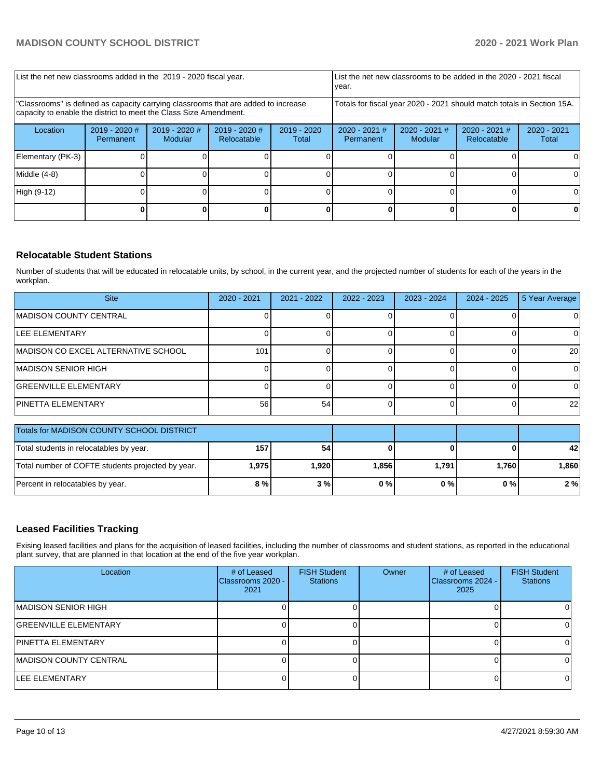| List the net new classrooms added in the 2019 - 2020 fiscal year.                                                                                       | year.                        |                            | List the net new classrooms to be added in the 2020 - 2021 fiscal |                        |                                                                        |                            |                                |                      |
|---------------------------------------------------------------------------------------------------------------------------------------------------------|------------------------------|----------------------------|-------------------------------------------------------------------|------------------------|------------------------------------------------------------------------|----------------------------|--------------------------------|----------------------|
| "Classrooms" is defined as capacity carrying classrooms that are added to increase<br>capacity to enable the district to meet the Class Size Amendment. |                              |                            |                                                                   |                        | Totals for fiscal year 2020 - 2021 should match totals in Section 15A. |                            |                                |                      |
| Location                                                                                                                                                | $2019 - 2020$ #<br>Permanent | $2019 - 2020$ #<br>Modular | 2019 - 2020 #<br>Relocatable                                      | $2019 - 2020$<br>Total | $2020 - 2021$ #<br>Permanent                                           | $2020 - 2021$ #<br>Modular | $2020 - 2021$ #<br>Relocatable | 2020 - 2021<br>Total |
| Elementary (PK-3)                                                                                                                                       |                              |                            |                                                                   |                        |                                                                        |                            |                                |                      |
| Middle (4-8)                                                                                                                                            |                              |                            |                                                                   |                        |                                                                        |                            |                                |                      |
| High (9-12)                                                                                                                                             |                              |                            |                                                                   |                        |                                                                        |                            |                                | ΩI                   |
|                                                                                                                                                         |                              |                            |                                                                   |                        |                                                                        |                            |                                |                      |

## **Relocatable Student Stations**

Number of students that will be educated in relocatable units, by school, in the current year, and the projected number of students for each of the years in the workplan.

| <b>Site</b>                                 | 2020 - 2021 | 2021 - 2022 | 2022 - 2023 | 2023 - 2024 | 2024 - 2025 | 5 Year Average |
|---------------------------------------------|-------------|-------------|-------------|-------------|-------------|----------------|
| MADISON COUNTY CENTRAL                      |             |             |             |             |             |                |
| ILEE ELEMENTARY                             |             |             |             |             |             |                |
| <b>IMADISON CO EXCEL ALTERNATIVE SCHOOL</b> | 101         |             |             |             |             | 20             |
| MADISON SENIOR HIGH                         |             |             |             |             |             |                |
| <b>GREENVILLE ELEMENTARY</b>                |             |             |             |             |             |                |
| <b>PINETTA ELEMENTARY</b>                   | 56          | 54          |             |             |             | 22             |

| <b>Totals for MADISON COUNTY SCHOOL DISTRICT</b>  |       |       |       |       |       |       |
|---------------------------------------------------|-------|-------|-------|-------|-------|-------|
| Total students in relocatables by year.           | 157   | 54    |       |       |       | 42    |
| Total number of COFTE students projected by year. | 1,975 | 1,920 | 1,856 | 1.791 | 1.760 | 1.860 |
| Percent in relocatables by year.                  | 8 % l | 3%    | 0%    | 0 % I | $0\%$ | 2%    |

## **Leased Facilities Tracking**

Exising leased facilities and plans for the acquisition of leased facilities, including the number of classrooms and student stations, as reported in the educational plant survey, that are planned in that location at the end of the five year workplan.

| Location                       | # of Leased<br><b>IClassrooms 2020 -</b><br>2021 | <b>FISH Student</b><br><b>Stations</b> | Owner | # of Leased<br>Classrooms 2024 -<br>2025 | <b>FISH Student</b><br><b>Stations</b> |
|--------------------------------|--------------------------------------------------|----------------------------------------|-------|------------------------------------------|----------------------------------------|
| IMADISON SENIOR HIGH           |                                                  |                                        |       |                                          |                                        |
| <b>GREENVILLE ELEMENTARY</b>   |                                                  |                                        |       |                                          |                                        |
| <b>PINETTA ELEMENTARY</b>      |                                                  |                                        |       |                                          |                                        |
| <b>IMADISON COUNTY CENTRAL</b> |                                                  |                                        |       |                                          |                                        |
| <b>ILEE ELEMENTARY</b>         |                                                  |                                        |       |                                          |                                        |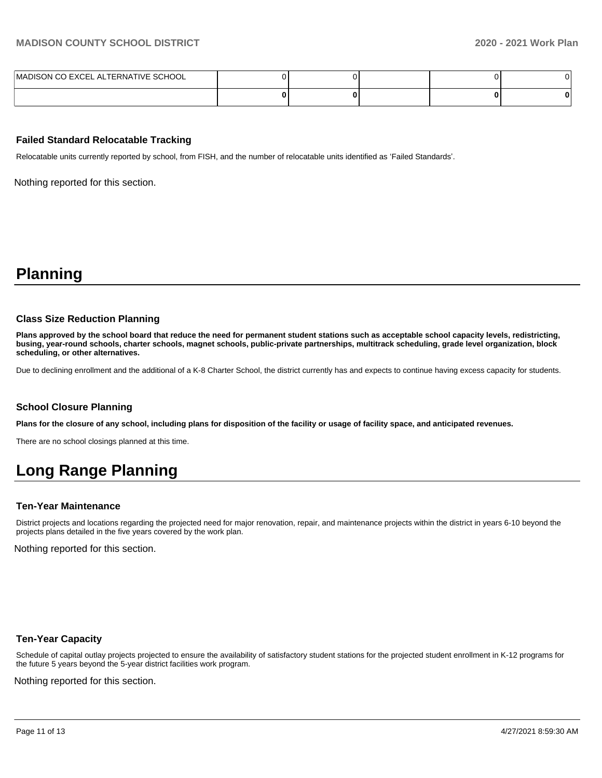| MADISON CO EXCEL ALTERNATIVE SCHOOL |  |  |  |
|-------------------------------------|--|--|--|
|                                     |  |  |  |

#### **Failed Standard Relocatable Tracking**

Relocatable units currently reported by school, from FISH, and the number of relocatable units identified as 'Failed Standards'.

Nothing reported for this section.

## **Planning**

#### **Class Size Reduction Planning**

**Plans approved by the school board that reduce the need for permanent student stations such as acceptable school capacity levels, redistricting, busing, year-round schools, charter schools, magnet schools, public-private partnerships, multitrack scheduling, grade level organization, block scheduling, or other alternatives.**

Due to declining enrollment and the additional of a K-8 Charter School, the district currently has and expects to continue having excess capacity for students.

#### **School Closure Planning**

**Plans for the closure of any school, including plans for disposition of the facility or usage of facility space, and anticipated revenues.** 

There are no school closings planned at this time.

## **Long Range Planning**

#### **Ten-Year Maintenance**

District projects and locations regarding the projected need for major renovation, repair, and maintenance projects within the district in years 6-10 beyond the projects plans detailed in the five years covered by the work plan.

Nothing reported for this section.

#### **Ten-Year Capacity**

Schedule of capital outlay projects projected to ensure the availability of satisfactory student stations for the projected student enrollment in K-12 programs for the future 5 years beyond the 5-year district facilities work program.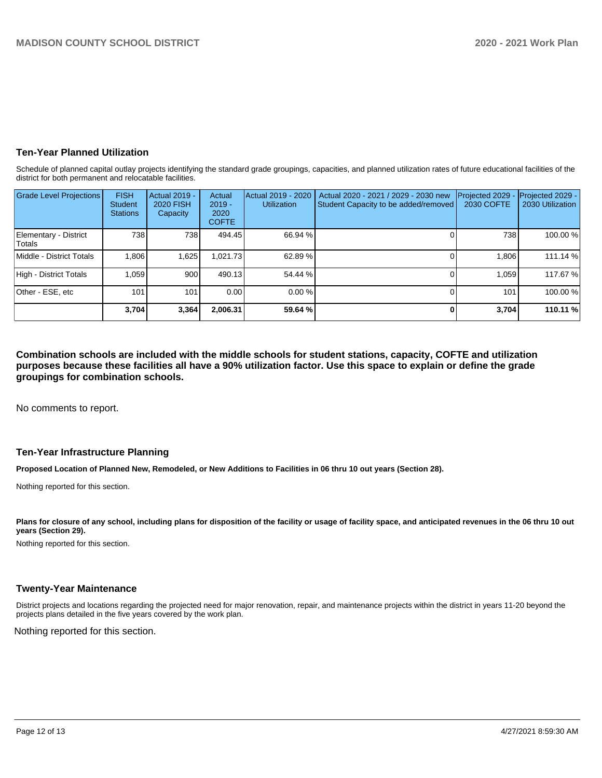### **Ten-Year Planned Utilization**

Schedule of planned capital outlay projects identifying the standard grade groupings, capacities, and planned utilization rates of future educational facilities of the district for both permanent and relocatable facilities.

| <b>Grade Level Projections</b>         | <b>FISH</b><br>Student<br><b>Stations</b> | Actual 2019 -<br>2020 FISH<br>Capacity | Actual<br>$2019 -$<br>2020<br><b>COFTE</b> | Actual 2019 - 2020<br><b>Utilization</b> | Actual 2020 - 2021 / 2029 - 2030 new<br>Student Capacity to be added/removed | Projected 2029<br>2030 COFTE | Projected 2029 -<br>2030 Utilization |
|----------------------------------------|-------------------------------------------|----------------------------------------|--------------------------------------------|------------------------------------------|------------------------------------------------------------------------------|------------------------------|--------------------------------------|
| Elementary - District<br><b>Totals</b> | 738                                       | 738 I                                  | 494.45                                     | 66.94 %                                  |                                                                              | 738                          | 100.00 %                             |
| Middle - District Totals               | 1.806                                     | 1,625                                  | 1.021.73                                   | 62.89%                                   |                                                                              | 1.806                        | 111.14 %                             |
| High - District Totals                 | 1.059                                     | 900                                    | 490.13                                     | 54.44 %                                  |                                                                              | 1.059                        | 117.67 %                             |
| Other - ESE, etc                       | 101                                       | 101                                    | 0.00                                       | 0.00%                                    |                                                                              | 101                          | 100.00 %                             |
|                                        | 3,704                                     | 3,364                                  | 2.006.31                                   | 59.64 %                                  |                                                                              | 3.704                        | 110.11 %                             |

**Combination schools are included with the middle schools for student stations, capacity, COFTE and utilization purposes because these facilities all have a 90% utilization factor. Use this space to explain or define the grade groupings for combination schools.** 

No comments to report.

## **Ten-Year Infrastructure Planning**

**Proposed Location of Planned New, Remodeled, or New Additions to Facilities in 06 thru 10 out years (Section 28).**

Nothing reported for this section.

Plans for closure of any school, including plans for disposition of the facility or usage of facility space, and anticipated revenues in the 06 thru 10 out **years (Section 29).**

Nothing reported for this section.

#### **Twenty-Year Maintenance**

District projects and locations regarding the projected need for major renovation, repair, and maintenance projects within the district in years 11-20 beyond the projects plans detailed in the five years covered by the work plan.